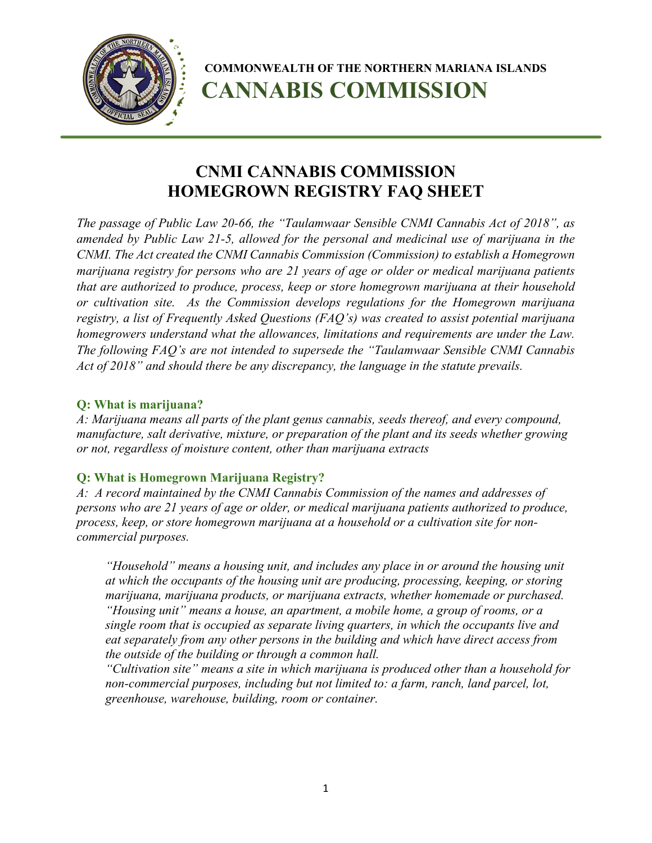

# **CNMI CANNABIS COMMISSION HOMEGROWN REGISTRY FAQ SHEET**

*The passage of Public Law 20-66, the "Taulamwaar Sensible CNMI Cannabis Act of 2018", as amended by Public Law 21-5, allowed for the personal and medicinal use of marijuana in the CNMI. The Act created the CNMI Cannabis Commission (Commission) to establish a Homegrown marijuana registry for persons who are 21 years of age or older or medical marijuana patients that are authorized to produce, process, keep or store homegrown marijuana at their household or cultivation site. As the Commission develops regulations for the Homegrown marijuana registry, a list of Frequently Asked Questions (FAQ's) was created to assist potential marijuana homegrowers understand what the allowances, limitations and requirements are under the Law. The following FAQ's are not intended to supersede the "Taulamwaar Sensible CNMI Cannabis Act of 2018" and should there be any discrepancy, the language in the statute prevails.*

#### **Q: What is marijuana?**

*A: Marijuana means all parts of the plant genus cannabis, seeds thereof, and every compound, manufacture, salt derivative, mixture, or preparation of the plant and its seeds whether growing or not, regardless of moisture content, other than marijuana extracts*

#### **Q: What is Homegrown Marijuana Registry?**

*A: A record maintained by the CNMI Cannabis Commission of the names and addresses of persons who are 21 years of age or older, or medical marijuana patients authorized to produce, process, keep, or store homegrown marijuana at a household or a cultivation site for noncommercial purposes.*

*"Household" means a housing unit, and includes any place in or around the housing unit at which the occupants of the housing unit are producing, processing, keeping, or storing marijuana, marijuana products, or marijuana extracts, whether homemade or purchased. "Housing unit" means a house, an apartment, a mobile home, a group of rooms, or a single room that is occupied as separate living quarters, in which the occupants live and eat separately from any other persons in the building and which have direct access from the outside of the building or through a common hall.* 

*"Cultivation site" means a site in which marijuana is produced other than a household for non-commercial purposes, including but not limited to: a farm, ranch, land parcel, lot, greenhouse, warehouse, building, room or container.*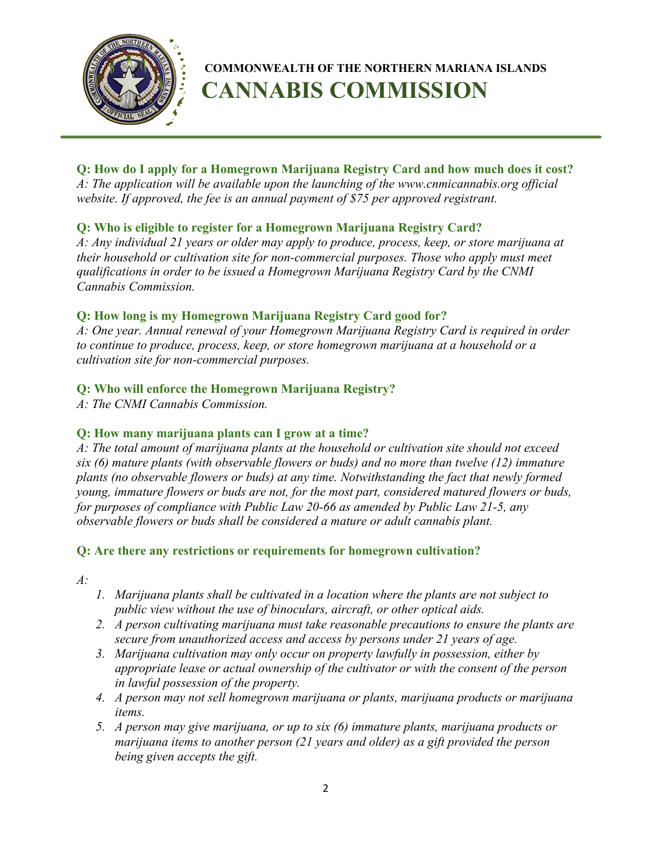

**Q: How do I apply for a Homegrown Marijuana Registry Card and how much does it cost?** *A: The application will be available upon the launching of the www.cnmicannabis.org official website. If approved, the fee is an annual payment of \$75 per approved registrant.*

## **Q: Who is eligible to register for a Homegrown Marijuana Registry Card?**

*A: Any individual 21 years or older may apply to produce, process, keep, or store marijuana at their household or cultivation site for non-commercial purposes. Those who apply must meet qualifications in order to be issued a Homegrown Marijuana Registry Card by the CNMI Cannabis Commission.*

## **Q: How long is my Homegrown Marijuana Registry Card good for?**

*A: One year. Annual renewal of your Homegrown Marijuana Registry Card is required in order to continue to produce, process, keep, or store homegrown marijuana at a household or a cultivation site for non-commercial purposes.*

## **Q: Who will enforce the Homegrown Marijuana Registry?**

*A: The CNMI Cannabis Commission.*

#### **Q: How many marijuana plants can I grow at a time?**

*A: The total amount of marijuana plants at the household or cultivation site should not exceed six (6) mature plants (with observable flowers or buds) and no more than twelve (12) immature plants (no observable flowers or buds) at any time. Notwithstanding the fact that newly formed young, immature flowers or buds are not, for the most part, considered matured flowers or buds, for purposes of compliance with Public Law 20-66 as amended by Public Law 21-5, any observable flowers or buds shall be considered a mature or adult cannabis plant.* 

# **Q: Are there any restrictions or requirements for homegrown cultivation?**

*A:*

- *1. Marijuana plants shall be cultivated in a location where the plants are not subject to public view without the use of binoculars, aircraft, or other optical aids.*
- *2. A person cultivating marijuana must take reasonable precautions to ensure the plants are secure from unauthorized access and access by persons under 21 years of age.*
- *3. Marijuana cultivation may only occur on property lawfully in possession, either by appropriate lease or actual ownership of the cultivator or with the consent of the person in lawful possession of the property.*
- *4. A person may not sell homegrown marijuana or plants, marijuana products or marijuana items.*
- *5. A person may give marijuana, or up to six (6) immature plants, marijuana products or marijuana items to another person (21 years and older) as a gift provided the person being given accepts the gift.*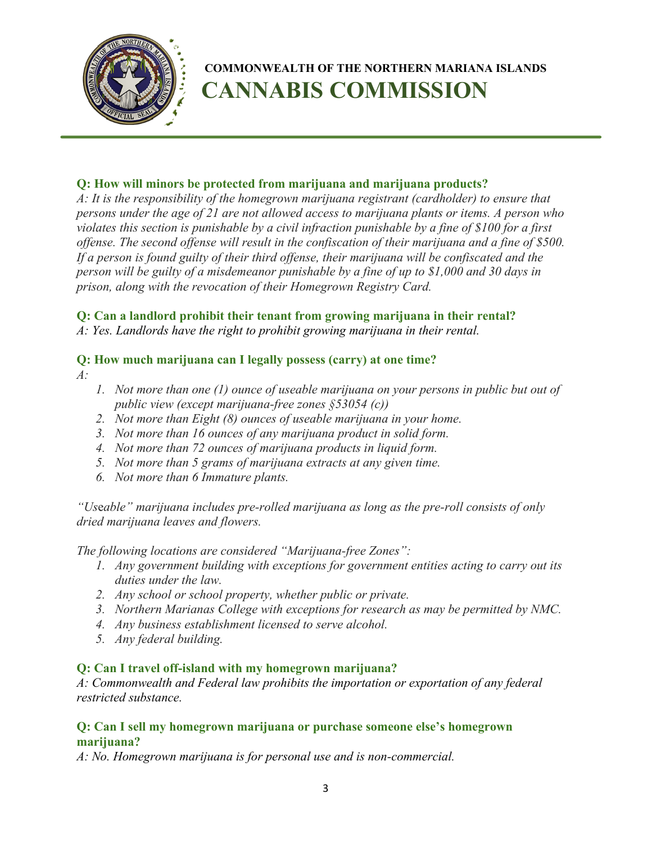

## **Q: How will minors be protected from marijuana and marijuana products?**

*A: It is the responsibility of the homegrown marijuana registrant (cardholder) to ensure that persons under the age of 21 are not allowed access to marijuana plants or items. A person who violates this section is punishable by a civil infraction punishable by a fine of \$100 for a first offense. The second offense will result in the confiscation of their marijuana and a fine of \$500. If a person is found guilty of their third offense, their marijuana will be confiscated and the person will be guilty of a misdemeanor punishable by a fine of up to \$1,000 and 30 days in prison, along with the revocation of their Homegrown Registry Card.*

#### **Q: Can a landlord prohibit their tenant from growing marijuana in their rental?**

*A: Yes. Landlords have the right to prohibit growing marijuana in their rental.*

#### **Q: How much marijuana can I legally possess (carry) at one time?**

- *A:*
- *1. Not more than one (1) ounce of useable marijuana on your persons in public but out of public view (except marijuana-free zones §53054 (c))*
- *2. Not more than Eight (8) ounces of useable marijuana in your home.*
- *3. Not more than 16 ounces of any marijuana product in solid form.*
- *4. Not more than 72 ounces of marijuana products in liquid form.*
- *5. Not more than 5 grams of marijuana extracts at any given time.*
- *6. Not more than 6 Immature plants.*

*"Us*e*able" marijuana includes pre-rolled marijuana as long as the pre-roll consists of only dried marijuana leaves and flowers.*

*The following locations are considered "Marijuana-free Zones":*

- *1. Any government building with exceptions for government entities acting to carry out its duties under the law.*
- *2. Any school or school property, whether public or private.*
- *3. Northern Marianas College with exceptions for research as may be permitted by NMC.*
- *4. Any business establishment licensed to serve alcohol.*
- *5. Any federal building.*

# **Q: Can I travel off-island with my homegrown marijuana?**

*A: Commonwealth and Federal law prohibits the importation or exportation of any federal restricted substance.*

#### **Q: Can I sell my homegrown marijuana or purchase someone else's homegrown marijuana?**

*A: No. Homegrown marijuana is for personal use and is non-commercial.*